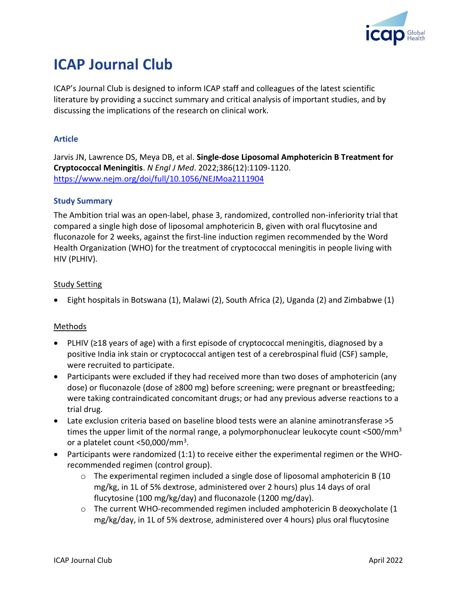

# **ICAP Journal Club**

ICAP's Journal Club is designed to inform ICAP staff and colleagues of the latest scientific literature by providing a succinct summary and critical analysis of important studies, and by discussing the implications of the research on clinical work.

## **Article**

Jarvis JN, Lawrence DS, Meya DB, et al. **Single-dose Liposomal Amphotericin B Treatment for Cryptococcal Meningitis**. *N Engl J Med*. 2022;386(12):1109-1120. <https://www.nejm.org/doi/full/10.1056/NEJMoa2111904>

## **Study Summary**

The Ambition trial was an open-label, phase 3, randomized, controlled non-inferiority trial that compared a single high dose of liposomal amphotericin B, given with oral flucytosine and fluconazole for 2 weeks, against the first-line induction regimen recommended by the Word Health Organization (WHO) for the treatment of cryptococcal meningitis in people living with HIV (PLHIV).

## Study Setting

• Eight hospitals in Botswana (1), Malawi (2), South Africa (2), Uganda (2) and Zimbabwe (1)

## Methods

- PLHIV (≥18 years of age) with a first episode of cryptococcal meningitis, diagnosed by a positive India ink stain or cryptococcal antigen test of a cerebrospinal fluid (CSF) sample, were recruited to participate.
- Participants were excluded if they had received more than two doses of amphotericin (any dose) or fluconazole (dose of ≥800 mg) before screening; were pregnant or breastfeeding; were taking contraindicated concomitant drugs; or had any previous adverse reactions to a trial drug.
- Late exclusion criteria based on baseline blood tests were an alanine aminotransferase >5 times the upper limit of the normal range, a polymorphonuclear leukocyte count  $\langle 500/mm^3$ or a platelet count <50,000/mm<sup>3</sup>.
- Participants were randomized (1:1) to receive either the experimental regimen or the WHOrecommended regimen (control group).
	- $\circ$  The experimental regimen included a single dose of liposomal amphotericin B (10 mg/kg, in 1L of 5% dextrose, administered over 2 hours) plus 14 days of oral flucytosine (100 mg/kg/day) and fluconazole (1200 mg/day).
	- o The current WHO-recommended regimen included amphotericin B deoxycholate (1 mg/kg/day, in 1L of 5% dextrose, administered over 4 hours) plus oral flucytosine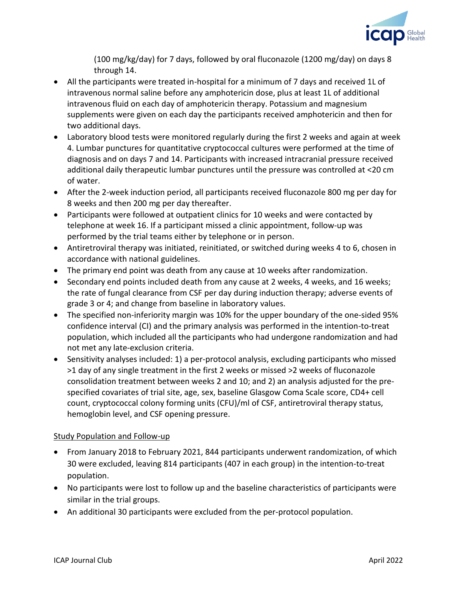

(100 mg/kg/day) for 7 days, followed by oral fluconazole (1200 mg/day) on days 8 through 14.

- All the participants were treated in-hospital for a minimum of 7 days and received 1L of intravenous normal saline before any amphotericin dose, plus at least 1L of additional intravenous fluid on each day of amphotericin therapy. Potassium and magnesium supplements were given on each day the participants received amphotericin and then for two additional days.
- Laboratory blood tests were monitored regularly during the first 2 weeks and again at week 4. Lumbar punctures for quantitative cryptococcal cultures were performed at the time of diagnosis and on days 7 and 14. Participants with increased intracranial pressure received additional daily therapeutic lumbar punctures until the pressure was controlled at <20 cm of water.
- After the 2-week induction period, all participants received fluconazole 800 mg per day for 8 weeks and then 200 mg per day thereafter.
- Participants were followed at outpatient clinics for 10 weeks and were contacted by telephone at week 16. If a participant missed a clinic appointment, follow-up was performed by the trial teams either by telephone or in person.
- Antiretroviral therapy was initiated, reinitiated, or switched during weeks 4 to 6, chosen in accordance with national guidelines.
- The primary end point was death from any cause at 10 weeks after randomization.
- Secondary end points included death from any cause at 2 weeks, 4 weeks, and 16 weeks; the rate of fungal clearance from CSF per day during induction therapy; adverse events of grade 3 or 4; and change from baseline in laboratory values.
- The specified non-inferiority margin was 10% for the upper boundary of the one-sided 95% confidence interval (CI) and the primary analysis was performed in the intention-to-treat population, which included all the participants who had undergone randomization and had not met any late-exclusion criteria.
- Sensitivity analyses included: 1) a per-protocol analysis, excluding participants who missed >1 day of any single treatment in the first 2 weeks or missed >2 weeks of fluconazole consolidation treatment between weeks 2 and 10; and 2) an analysis adjusted for the prespecified covariates of trial site, age, sex, baseline Glasgow Coma Scale score, CD4+ cell count, cryptococcal colony forming units (CFU)/ml of CSF, antiretroviral therapy status, hemoglobin level, and CSF opening pressure.

# Study Population and Follow-up

- From January 2018 to February 2021, 844 participants underwent randomization, of which 30 were excluded, leaving 814 participants (407 in each group) in the intention-to-treat population.
- No participants were lost to follow up and the baseline characteristics of participants were similar in the trial groups.
- An additional 30 participants were excluded from the per-protocol population.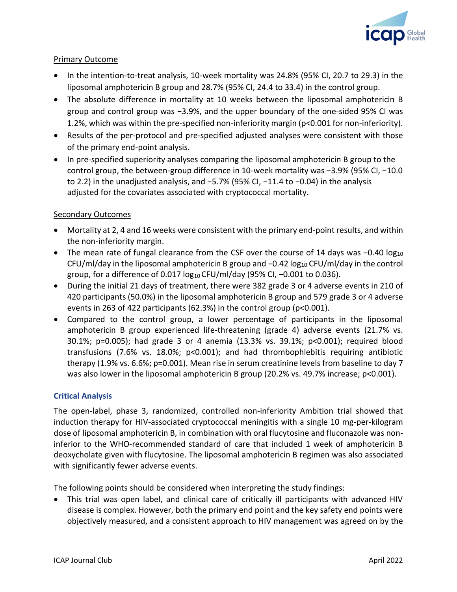

## Primary Outcome

- In the intention-to-treat analysis, 10-week mortality was 24.8% (95% CI, 20.7 to 29.3) in the liposomal amphotericin B group and 28.7% (95% CI, 24.4 to 33.4) in the control group.
- The absolute difference in mortality at 10 weeks between the liposomal amphotericin B group and control group was −3.9%, and the upper boundary of the one-sided 95% CI was 1.2%, which was within the pre-specified non-inferiority margin (p<0.001 for non-inferiority).
- Results of the per-protocol and pre-specified adjusted analyses were consistent with those of the primary end-point analysis.
- In pre-specified superiority analyses comparing the liposomal amphotericin B group to the control group, the between-group difference in 10-week mortality was −3.9% (95% CI, −10.0 to 2.2) in the unadjusted analysis, and −5.7% (95% CI, −11.4 to −0.04) in the analysis adjusted for the covariates associated with cryptococcal mortality.

## Secondary Outcomes

- Mortality at 2, 4 and 16 weeks were consistent with the primary end-point results, and within the non-inferiority margin.
- The mean rate of fungal clearance from the CSF over the course of 14 days was −0.40 log<sub>10</sub> CFU/ml/day in the liposomal amphotericin B group and −0.42 log<sub>10</sub> CFU/ml/day in the control group, for a difference of 0.017 log<sub>10</sub> CFU/ml/day (95% CI, -0.001 to 0.036).
- During the initial 21 days of treatment, there were 382 grade 3 or 4 adverse events in 210 of 420 participants (50.0%) in the liposomal amphotericin B group and 579 grade 3 or 4 adverse events in 263 of 422 participants (62.3%) in the control group (p<0.001).
- Compared to the control group, a lower percentage of participants in the liposomal amphotericin B group experienced life-threatening (grade 4) adverse events (21.7% vs. 30.1%; p=0.005); had grade 3 or 4 anemia (13.3% vs. 39.1%; p<0.001); required blood transfusions (7.6% vs. 18.0%; p<0.001); and had thrombophlebitis requiring antibiotic therapy (1.9% vs. 6.6%; p=0.001). Mean rise in serum creatinine levels from baseline to day 7 was also lower in the liposomal amphotericin B group (20.2% vs. 49.7% increase; p<0.001).

## **Critical Analysis**

The open-label, phase 3, randomized, controlled non-inferiority Ambition trial showed that induction therapy for HIV-associated cryptococcal meningitis with a single 10 mg-per-kilogram dose of liposomal amphotericin B, in combination with oral flucytosine and fluconazole was noninferior to the WHO-recommended standard of care that included 1 week of amphotericin B deoxycholate given with flucytosine. The liposomal amphotericin B regimen was also associated with significantly fewer adverse events.

The following points should be considered when interpreting the study findings:

• This trial was open label, and clinical care of critically ill participants with advanced HIV disease is complex. However, both the primary end point and the key safety end points were objectively measured, and a consistent approach to HIV management was agreed on by the